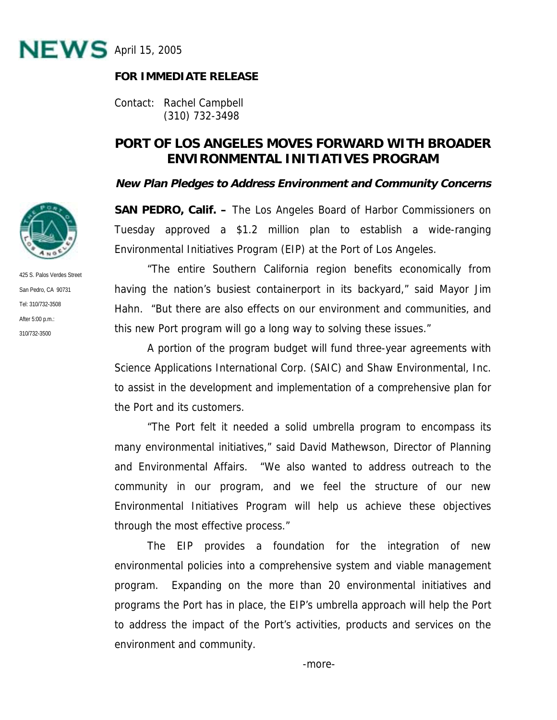

## **FOR IMMEDIATE RELEASE**

Contact: Rachel Campbell (310) 732-3498

## **PORT OF LOS ANGELES MOVES FORWARD WITH BROADER ENVIRONMENTAL INITIATIVES PROGRAM**

## **New Plan Pledges to Address Environment and Community Concerns**

**SAN PEDRO, Calif. –** The Los Angeles Board of Harbor Commissioners on Tuesday approved a \$1.2 million plan to establish a wide-ranging Environmental Initiatives Program (EIP) at the Port of Los Angeles.

 "The entire Southern California region benefits economically from having the nation's busiest containerport in its backyard," said Mayor Jim Hahn. "But there are also effects on our environment and communities, and this new Port program will go a long way to solving these issues."

A portion of the program budget will fund three-year agreements with Science Applications International Corp. (SAIC) and Shaw Environmental, Inc. to assist in the development and implementation of a comprehensive plan for the Port and its customers.

"The Port felt it needed a solid umbrella program to encompass its many environmental initiatives," said David Mathewson, Director of Planning and Environmental Affairs. "We also wanted to address outreach to the community in our program, and we feel the structure of our new Environmental Initiatives Program will help us achieve these objectives through the most effective process."

The EIP provides a foundation for the integration of new environmental policies into a comprehensive system and viable management program. Expanding on the more than 20 environmental initiatives and programs the Port has in place, the EIP's umbrella approach will help the Port to address the impact of the Port's activities, products and services on the environment and community.



425 S. Palos Verdes Street San Pedro, CA 90731 Tel: 310/732-3508 After 5:00 p.m.: 310/732-3500